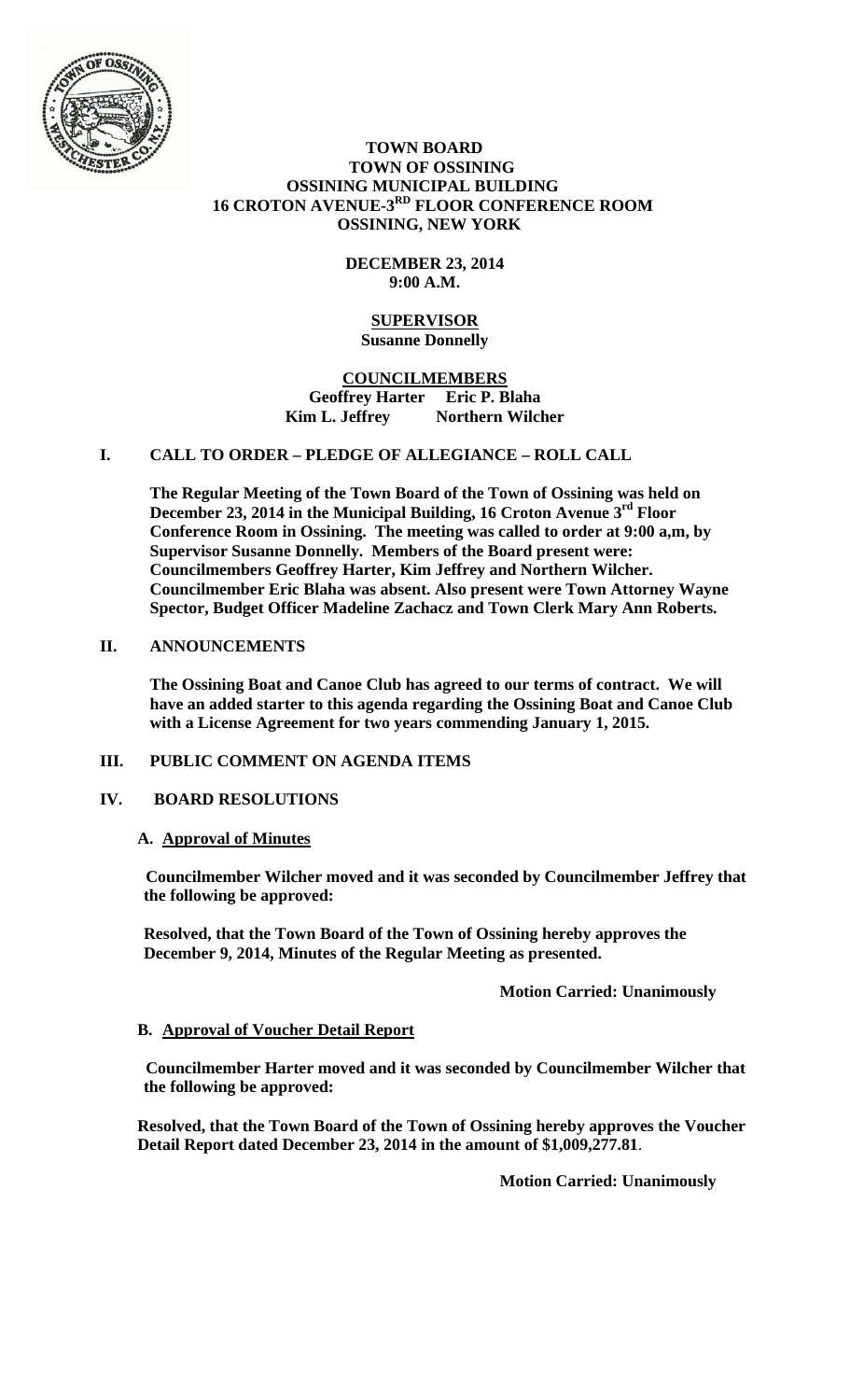

#### **TOWN BOARD TOWN OF OSSINING OSSINING MUNICIPAL BUILDING 16 CROTON AVENUE-3RD FLOOR CONFERENCE ROOM OSSINING, NEW YORK**

# **DECEMBER 23, 2014 9:00 A.M.**

#### **SUPERVISOR Susanne Donnelly**

## **COUNCILMEMBERS Geoffrey Harter Eric P. Blaha**  Kim L. Jeffrey Northern Wilcher

# **I. CALL TO ORDER – PLEDGE OF ALLEGIANCE – ROLL CALL**

**The Regular Meeting of the Town Board of the Town of Ossining was held on December 23, 2014 in the Municipal Building, 16 Croton Avenue 3rd Floor Conference Room in Ossining. The meeting was called to order at 9:00 a,m, by Supervisor Susanne Donnelly. Members of the Board present were: Councilmembers Geoffrey Harter, Kim Jeffrey and Northern Wilcher. Councilmember Eric Blaha was absent. Also present were Town Attorney Wayne Spector, Budget Officer Madeline Zachacz and Town Clerk Mary Ann Roberts.** 

# **II. ANNOUNCEMENTS**

**The Ossining Boat and Canoe Club has agreed to our terms of contract. We will have an added starter to this agenda regarding the Ossining Boat and Canoe Club with a License Agreement for two years commending January 1, 2015.** 

## **III. PUBLIC COMMENT ON AGENDA ITEMS**

## **IV. BOARD RESOLUTIONS**

#### **A. Approval of Minutes**

**Councilmember Wilcher moved and it was seconded by Councilmember Jeffrey that the following be approved:** 

**Resolved, that the Town Board of the Town of Ossining hereby approves the December 9, 2014, Minutes of the Regular Meeting as presented.** 

## **Motion Carried: Unanimously**

## **B. Approval of Voucher Detail Report**

**Councilmember Harter moved and it was seconded by Councilmember Wilcher that the following be approved:** 

**Resolved, that the Town Board of the Town of Ossining hereby approves the Voucher Detail Report dated December 23, 2014 in the amount of \$1,009,277.81**.

**Motion Carried: Unanimously**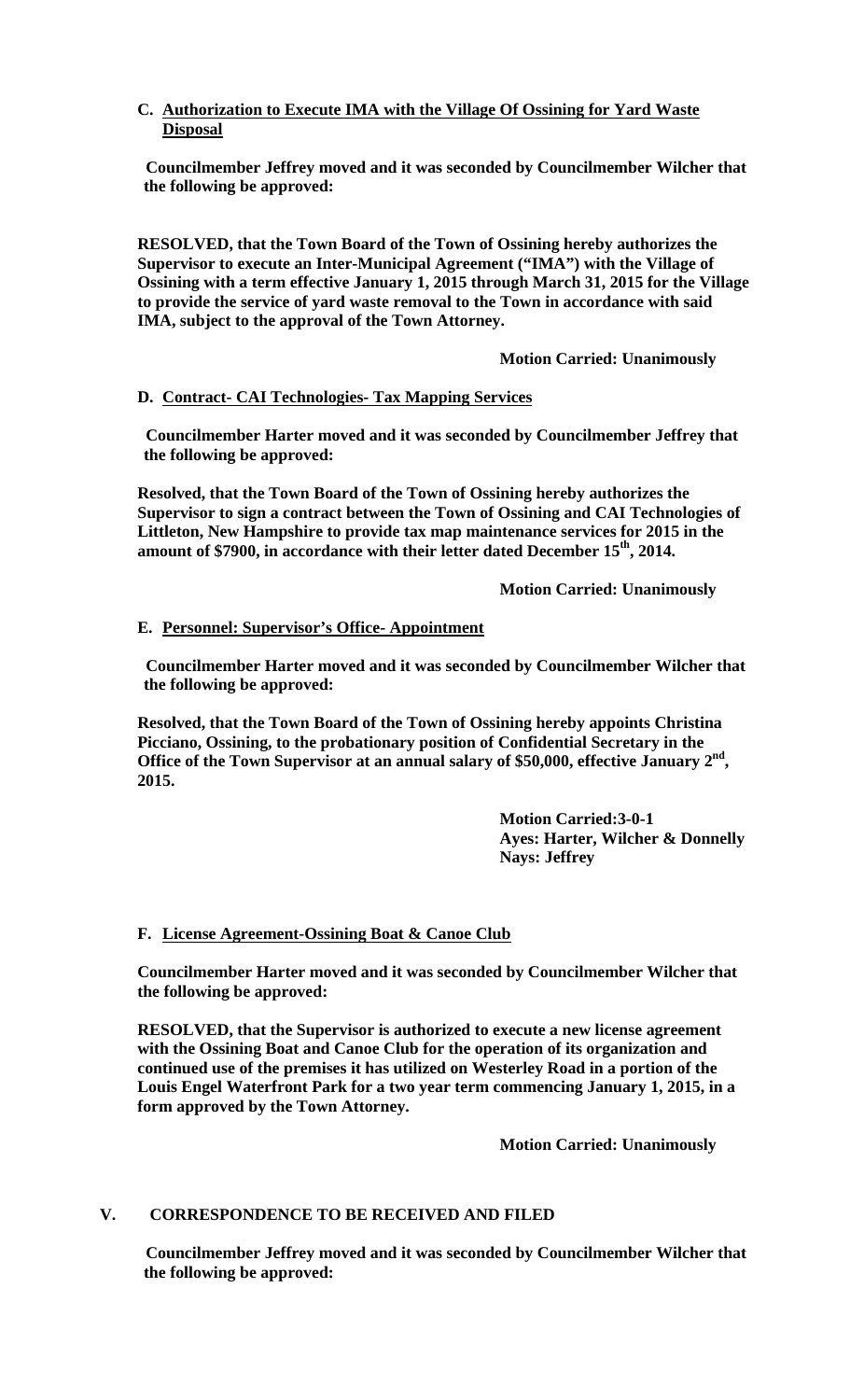# **C. Authorization to Execute IMA with the Village Of Ossining for Yard Waste Disposal**

**Councilmember Jeffrey moved and it was seconded by Councilmember Wilcher that the following be approved:** 

**RESOLVED, that the Town Board of the Town of Ossining hereby authorizes the Supervisor to execute an Inter-Municipal Agreement ("IMA") with the Village of Ossining with a term effective January 1, 2015 through March 31, 2015 for the Village to provide the service of yard waste removal to the Town in accordance with said IMA, subject to the approval of the Town Attorney.** 

 **Motion Carried: Unanimously** 

## **D. Contract- CAI Technologies- Tax Mapping Services**

**Councilmember Harter moved and it was seconded by Councilmember Jeffrey that the following be approved:** 

**Resolved, that the Town Board of the Town of Ossining hereby authorizes the Supervisor to sign a contract between the Town of Ossining and CAI Technologies of Littleton, New Hampshire to provide tax map maintenance services for 2015 in the**  amount of \$7900, in accordance with their letter dated December 15<sup>th</sup>, 2014.

 **Motion Carried: Unanimously** 

#### **E. Personnel: Supervisor's Office- Appointment**

**Councilmember Harter moved and it was seconded by Councilmember Wilcher that the following be approved:** 

**Resolved, that the Town Board of the Town of Ossining hereby appoints Christina Picciano, Ossining, to the probationary position of Confidential Secretary in the**  Office of the Town Supervisor at an annual salary of \$50,000, effective January 2<sup>nd</sup>, **2015.** 

> **Motion Carried:3-0-1 Ayes: Harter, Wilcher & Donnelly Nays: Jeffrey**

#### **F. License Agreement-Ossining Boat & Canoe Club**

**Councilmember Harter moved and it was seconded by Councilmember Wilcher that the following be approved:** 

**RESOLVED, that the Supervisor is authorized to execute a new license agreement with the Ossining Boat and Canoe Club for the operation of its organization and continued use of the premises it has utilized on Westerley Road in a portion of the Louis Engel Waterfront Park for a two year term commencing January 1, 2015, in a form approved by the Town Attorney.**

 **Motion Carried: Unanimously** 

## **V. CORRESPONDENCE TO BE RECEIVED AND FILED**

**Councilmember Jeffrey moved and it was seconded by Councilmember Wilcher that the following be approved:**